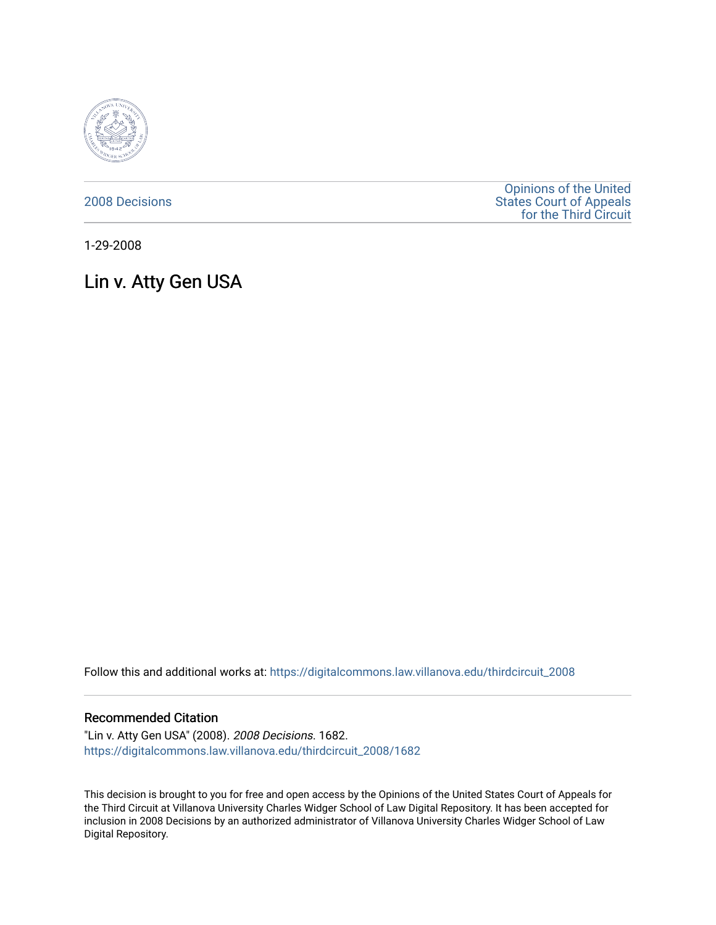

[2008 Decisions](https://digitalcommons.law.villanova.edu/thirdcircuit_2008)

[Opinions of the United](https://digitalcommons.law.villanova.edu/thirdcircuit)  [States Court of Appeals](https://digitalcommons.law.villanova.edu/thirdcircuit)  [for the Third Circuit](https://digitalcommons.law.villanova.edu/thirdcircuit) 

1-29-2008

# Lin v. Atty Gen USA

Follow this and additional works at: [https://digitalcommons.law.villanova.edu/thirdcircuit\\_2008](https://digitalcommons.law.villanova.edu/thirdcircuit_2008?utm_source=digitalcommons.law.villanova.edu%2Fthirdcircuit_2008%2F1682&utm_medium=PDF&utm_campaign=PDFCoverPages) 

#### Recommended Citation

"Lin v. Atty Gen USA" (2008). 2008 Decisions. 1682. [https://digitalcommons.law.villanova.edu/thirdcircuit\\_2008/1682](https://digitalcommons.law.villanova.edu/thirdcircuit_2008/1682?utm_source=digitalcommons.law.villanova.edu%2Fthirdcircuit_2008%2F1682&utm_medium=PDF&utm_campaign=PDFCoverPages) 

This decision is brought to you for free and open access by the Opinions of the United States Court of Appeals for the Third Circuit at Villanova University Charles Widger School of Law Digital Repository. It has been accepted for inclusion in 2008 Decisions by an authorized administrator of Villanova University Charles Widger School of Law Digital Repository.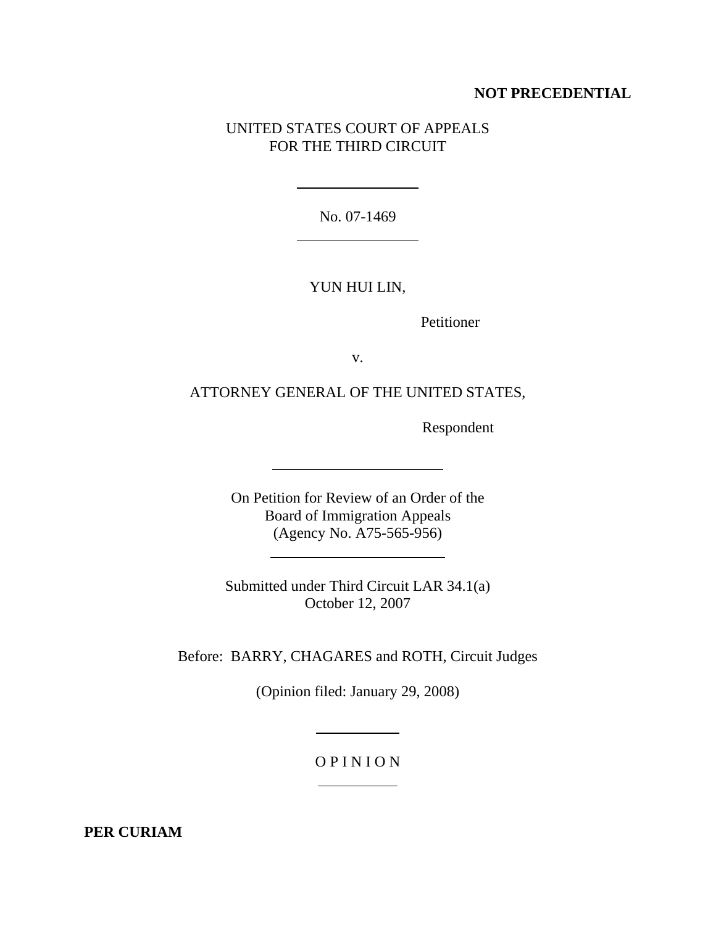### **NOT PRECEDENTIAL**

## UNITED STATES COURT OF APPEALS FOR THE THIRD CIRCUIT

No. 07-1469

 $\overline{a}$ 

 $\overline{a}$ 

 $\overline{a}$ 

l

#### YUN HUI LIN,

Petitioner

v.

ATTORNEY GENERAL OF THE UNITED STATES,

Respondent

On Petition for Review of an Order of the Board of Immigration Appeals (Agency No. A75-565-956)

Submitted under Third Circuit LAR 34.1(a) October 12, 2007

Before: BARRY, CHAGARES and ROTH, Circuit Judges

(Opinion filed: January 29, 2008)

 $\overline{a}$ 

l

## O P I N I O N

**PER CURIAM**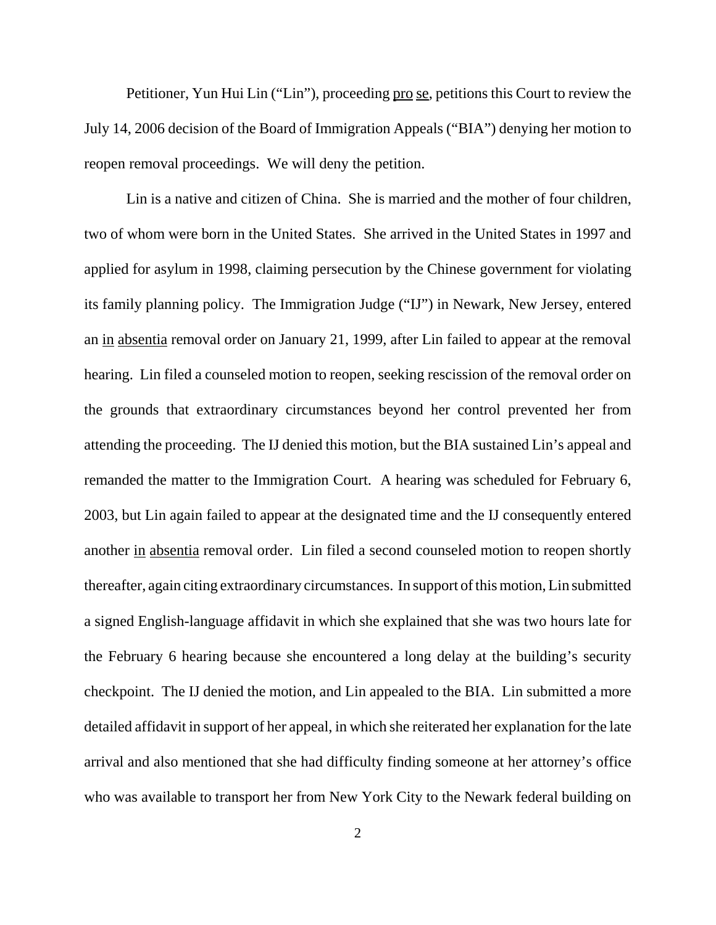Petitioner, Yun Hui Lin ("Lin"), proceeding pro se, petitions this Court to review the July 14, 2006 decision of the Board of Immigration Appeals ("BIA") denying her motion to reopen removal proceedings. We will deny the petition.

Lin is a native and citizen of China. She is married and the mother of four children, two of whom were born in the United States. She arrived in the United States in 1997 and applied for asylum in 1998, claiming persecution by the Chinese government for violating its family planning policy. The Immigration Judge ("IJ") in Newark, New Jersey, entered an in absentia removal order on January 21, 1999, after Lin failed to appear at the removal hearing. Lin filed a counseled motion to reopen, seeking rescission of the removal order on the grounds that extraordinary circumstances beyond her control prevented her from attending the proceeding. The IJ denied this motion, but the BIA sustained Lin's appeal and remanded the matter to the Immigration Court. A hearing was scheduled for February 6, 2003, but Lin again failed to appear at the designated time and the IJ consequently entered another in absentia removal order. Lin filed a second counseled motion to reopen shortly thereafter, again citing extraordinary circumstances. In support of this motion, Lin submitted a signed English-language affidavit in which she explained that she was two hours late for the February 6 hearing because she encountered a long delay at the building's security checkpoint. The IJ denied the motion, and Lin appealed to the BIA. Lin submitted a more detailed affidavit in support of her appeal, in which she reiterated her explanation for the late arrival and also mentioned that she had difficulty finding someone at her attorney's office who was available to transport her from New York City to the Newark federal building on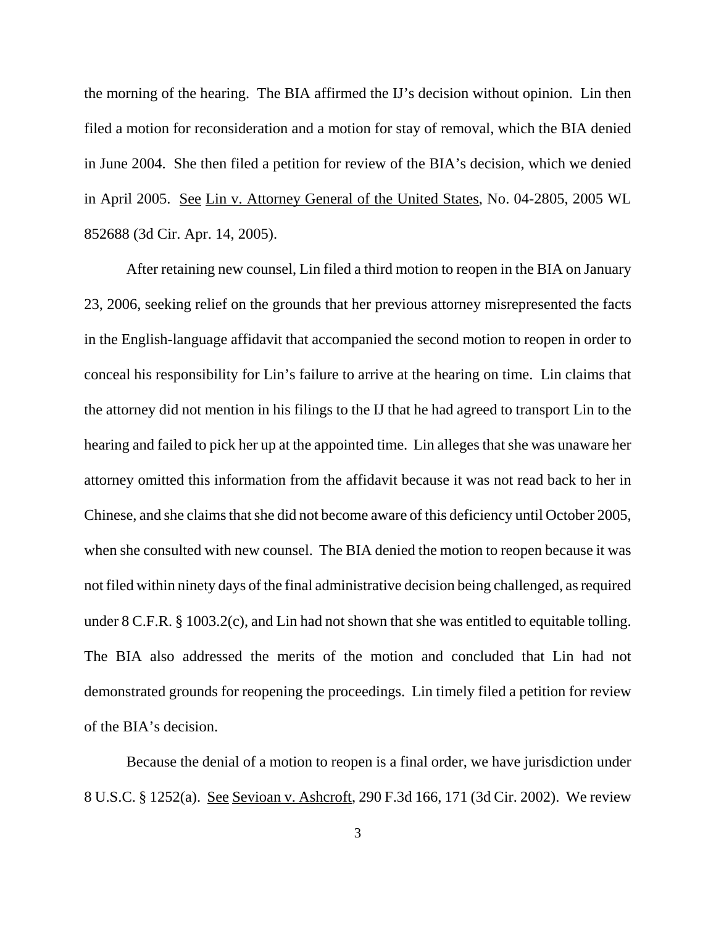the morning of the hearing. The BIA affirmed the IJ's decision without opinion. Lin then filed a motion for reconsideration and a motion for stay of removal, which the BIA denied in June 2004. She then filed a petition for review of the BIA's decision, which we denied in April 2005. See Lin v. Attorney General of the United States, No. 04-2805, 2005 WL 852688 (3d Cir. Apr. 14, 2005).

After retaining new counsel, Lin filed a third motion to reopen in the BIA on January 23, 2006, seeking relief on the grounds that her previous attorney misrepresented the facts in the English-language affidavit that accompanied the second motion to reopen in order to conceal his responsibility for Lin's failure to arrive at the hearing on time. Lin claims that the attorney did not mention in his filings to the IJ that he had agreed to transport Lin to the hearing and failed to pick her up at the appointed time. Lin alleges that she was unaware her attorney omitted this information from the affidavit because it was not read back to her in Chinese, and she claims that she did not become aware of this deficiency until October 2005, when she consulted with new counsel. The BIA denied the motion to reopen because it was not filed within ninety days of the final administrative decision being challenged, as required under 8 C.F.R. § 1003.2(c), and Lin had not shown that she was entitled to equitable tolling. The BIA also addressed the merits of the motion and concluded that Lin had not demonstrated grounds for reopening the proceedings. Lin timely filed a petition for review of the BIA's decision.

Because the denial of a motion to reopen is a final order, we have jurisdiction under 8 U.S.C. § 1252(a). See Sevioan v. Ashcroft, 290 F.3d 166, 171 (3d Cir. 2002). We review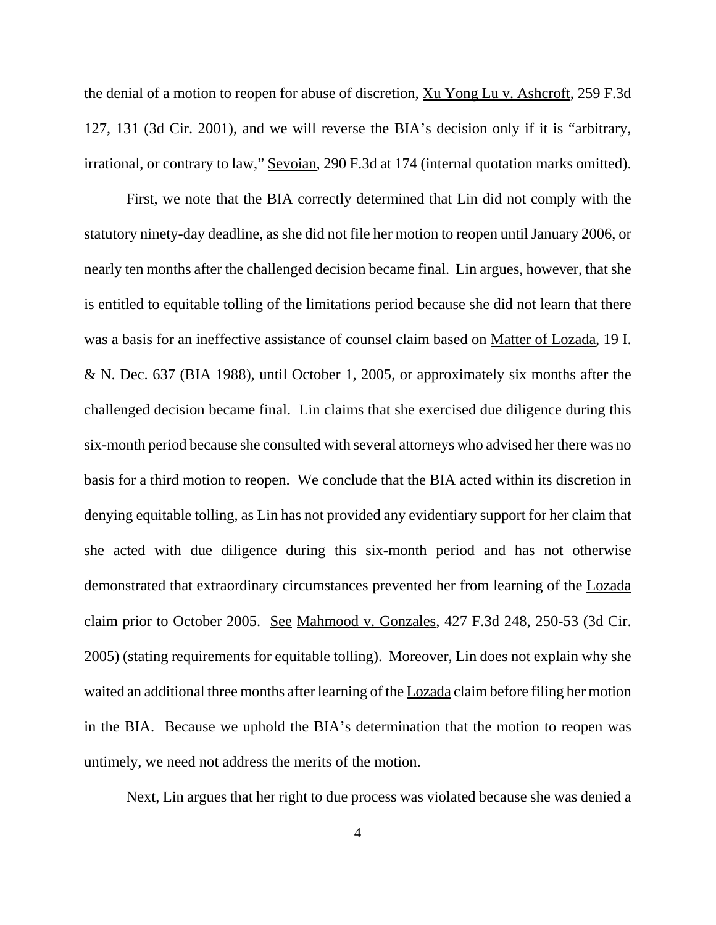the denial of a motion to reopen for abuse of discretion, Xu Yong Lu v. Ashcroft, 259 F.3d 127, 131 (3d Cir. 2001), and we will reverse the BIA's decision only if it is "arbitrary, irrational, or contrary to law," Sevoian, 290 F.3d at 174 (internal quotation marks omitted).

First, we note that the BIA correctly determined that Lin did not comply with the statutory ninety-day deadline, as she did not file her motion to reopen until January 2006, or nearly ten months after the challenged decision became final. Lin argues, however, that she is entitled to equitable tolling of the limitations period because she did not learn that there was a basis for an ineffective assistance of counsel claim based on Matter of Lozada, 19 I. & N. Dec. 637 (BIA 1988), until October 1, 2005, or approximately six months after the challenged decision became final. Lin claims that she exercised due diligence during this six-month period because she consulted with several attorneys who advised her there was no basis for a third motion to reopen. We conclude that the BIA acted within its discretion in denying equitable tolling, as Lin has not provided any evidentiary support for her claim that she acted with due diligence during this six-month period and has not otherwise demonstrated that extraordinary circumstances prevented her from learning of the Lozada claim prior to October 2005. See Mahmood v. Gonzales, 427 F.3d 248, 250-53 (3d Cir. 2005) (stating requirements for equitable tolling). Moreover, Lin does not explain why she waited an additional three months after learning of the **Lozada** claim before filing her motion in the BIA. Because we uphold the BIA's determination that the motion to reopen was untimely, we need not address the merits of the motion.

Next, Lin argues that her right to due process was violated because she was denied a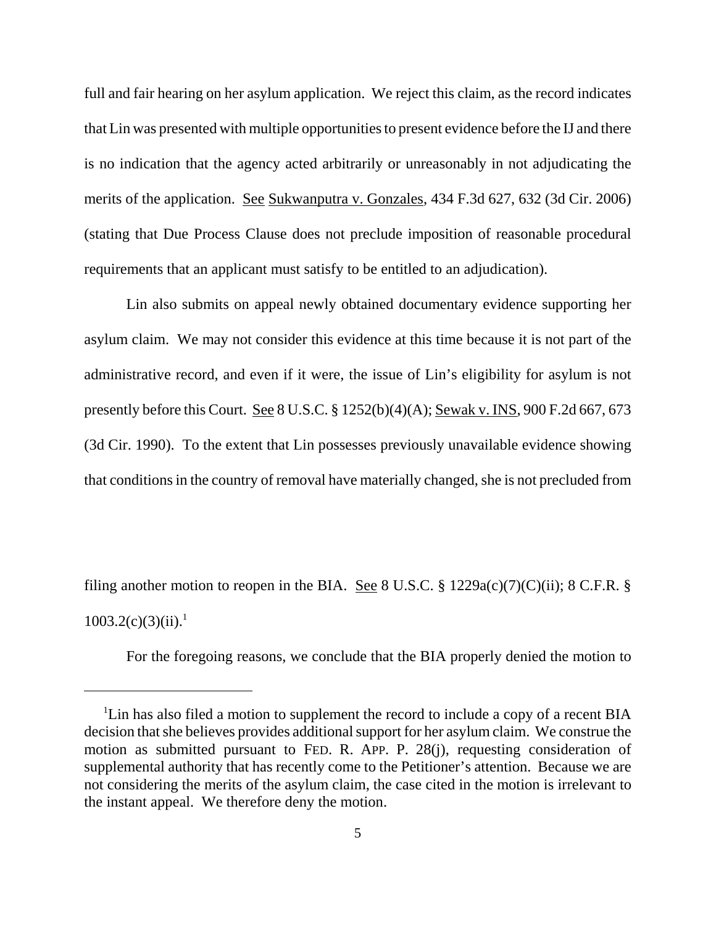full and fair hearing on her asylum application. We reject this claim, as the record indicates that Lin was presented with multiple opportunities to present evidence before the IJ and there is no indication that the agency acted arbitrarily or unreasonably in not adjudicating the merits of the application. See Sukwanputra v. Gonzales, 434 F.3d 627, 632 (3d Cir. 2006) (stating that Due Process Clause does not preclude imposition of reasonable procedural requirements that an applicant must satisfy to be entitled to an adjudication).

Lin also submits on appeal newly obtained documentary evidence supporting her asylum claim. We may not consider this evidence at this time because it is not part of the administrative record, and even if it were, the issue of Lin's eligibility for asylum is not presently before this Court. See 8 U.S.C. § 1252(b)(4)(A); Sewak v. INS, 900 F.2d 667, 673 (3d Cir. 1990). To the extent that Lin possesses previously unavailable evidence showing that conditions in the country of removal have materially changed, she is not precluded from

filing another motion to reopen in the BIA. See 8 U.S.C. § 1229a(c)(7)(C)(ii); 8 C.F.R. §  $1003.2(c)(3)(ii).<sup>1</sup>$ 

For the foregoing reasons, we conclude that the BIA properly denied the motion to

<sup>&</sup>lt;sup>1</sup>Lin has also filed a motion to supplement the record to include a copy of a recent BIA decision that she believes provides additional support for her asylum claim. We construe the motion as submitted pursuant to FED. R. APP. P. 28(j), requesting consideration of supplemental authority that has recently come to the Petitioner's attention. Because we are not considering the merits of the asylum claim, the case cited in the motion is irrelevant to the instant appeal. We therefore deny the motion.